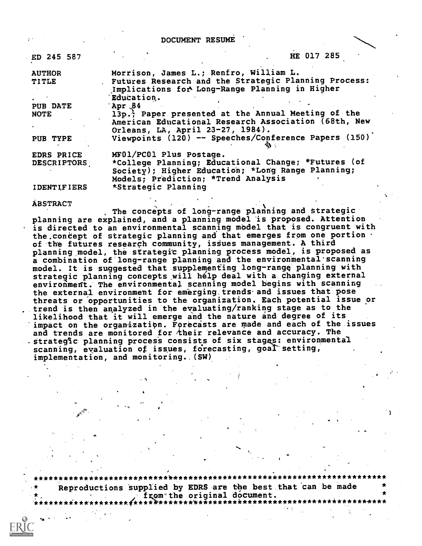DOCUMENT RESUME

| ED 245 587                       | HE 017 285                                                                                                                                                                 |
|----------------------------------|----------------------------------------------------------------------------------------------------------------------------------------------------------------------------|
| <b>AUTHOR</b><br><b>TITLE</b>    | Morrison, James L.; Renfro, William L.<br>Futures Research and the Strategic Planning Process:<br>Implications for Long-Range Planning in Higher<br>Education.             |
| <b>PUB DATE</b><br><b>NOTE</b>   | Apr 84<br>13p.) Paper presented at the Annual Meeting of the<br>American Educational Research Association (68th, New<br>Orleans, LA, April 23-27, 1984).                   |
| PUB TYPE                         | Viewpoints (120) -- Speeches/Conference Papers (150)                                                                                                                       |
| EDRS PRICE<br><b>DESCRIPTORS</b> | MF01/PC01 Plus Postage.<br>*College Planning; Educational Change; *Futures (of<br>Society); Higher Education; *Long Range Planning;<br>Models; Prediction; *Trend Analysis |
| <b>IDENTIFIERS</b>               | *Strategic Planning                                                                                                                                                        |

**ÁBSTRACT** 

The concepts of long-range planning and strategic planning are explained, and a planning model is proposed. Attention is directed to an environmental scanning model that is congruent with the concept of strategic planning and that emerges from one portion. of the futures research community, issues management. A third planning model, the strategic planning process model, is proposed as a combination of long-range planning and the environmental scanning model. It is suggested that supplementing long-range planning with strategic planning concepts will hélp deal with a changing external environment. The environmental scanning model begins with scanning the external environment for emerging trends and issues that pose threats or opportunities to the organization. Each potential issue or trend is then analyzed in the evaluating/ranking stage as to the likelihood that it will emerge and the nature and degree of its impact on the organization. Forecasts are made and each of the issues and trends are monitored for their relevance and accuracy. The strategic planning process consists of six stages: environmental scanning, evaluation of issues, forecasting, goal setting, implementation, and monitoring. (SW)

\*\*\*\*\*\*\*\*\*\*\*\*\*\*\*\*\*\*\*\*\*\*\*\*\*\*\*\*\*\*\*\*\* Reproductions supplied by EDRS are the best that can be made from the original document. \*\*\*\*\*\*\*\*\*\*\*\*\*\*\*\*\*\*\*\*\*\*\*\*\*\*\*\*\*\*\*\*\*\*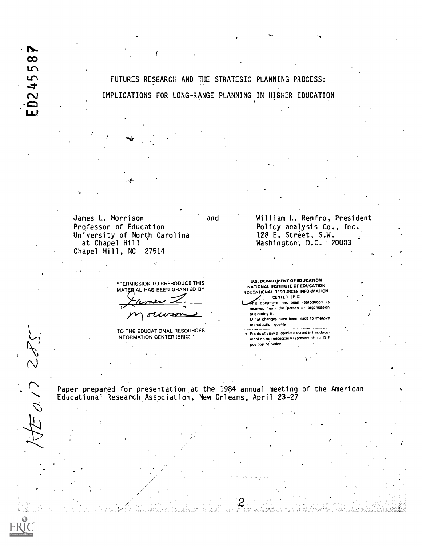Ŋ.  $\infty$ 5  $0245$ 

FUTURES RESEARCH AND THE STRATEGIC PLANNING PROCESS: IMPLICATIONS FOR LONG-RANGE PLANNING IN HIGHER EDUCATION

James L. Morrison Professor of Education University of North Carolina at Chapel Hill Chapel Hill, NC 27514

> "PERMISSION TO REPRODUCE THIS MATERIAL HAS BEEN GRANTED BY

TO THE EDUCATIONAL RESOURCES INFORMATION CENTER (ERIC)."

and William L. Renfro, President Policy analysis Co., Inc. 128 E. Street, S.W. Washington, D.C. 20003

> U.S. DEPARTMENT OF EDUCATION NATIONAL INSTITUTE OF EDUCATION EDUCATIONAL RESOURCES INFORMATION CENTER (ERIC) his document has been reproduced as

- received from the person or organization originating it.
- Minor changes have been made to improve reproduction quality.
- . Points of view or opinions stated in this document do not necessarily represent official NIE position Of policy.

Paper prepared for presentation at the 1984 annual meeting of the American Educational Research Association, New Orleans, April 23-27



 $1 - 1$ 

 $750/26$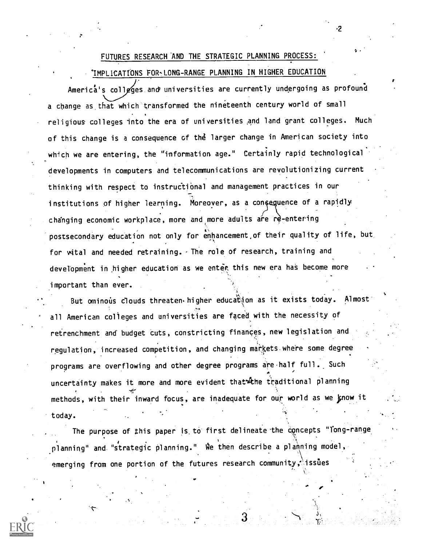### FUTURES RESEARCH AND THE STRATEGIC PLANNING PROCESS:

۰2

IMPLICATIONS FOR-LONG-RANGE PLANNING IN HIGHER EDUCATION

America's colleges and universities are currently undergoing as profound a change as that which transformed the nineteenth century world of small religious colleges into the era of universities and land grant colleges. Much of this change is a consequence of the larger change in American society into which we are entering, the "'information age." Certainly rapid technological developments in computers and telecommunications are revolutionizing current thinking with respect to instructional and management practices in our institutions of higher learning. Moreover, as a consequence of a rapidly changing economic workplace, more and more adults are re-entering postsecondary education not only for enhancement,of their quality of life, but for wital and needed retraining. The role of research, training and development in higher education as we enter this new era has become more important than ever.

But ominous clouds threaten. higher education as it exists today. Almost all American colleges and universities are faced with the necessity of retrenchment and budget cuts, constricting finances, new legislation and regulation, increased competition, and changing markets where some degree programs are overflowing and other degree programs are half full. Such uncertainty makes it more and more evident that the traditional planning methods, with their inward focus, are inadequate for our world as we know it today.

The purpose of this paper is to first delineate the concepts "long-range  $\rho$ lanning" and "strategic planning." We then describe a planning model,  $\rho$ emerging from one portion of the futures research community, issues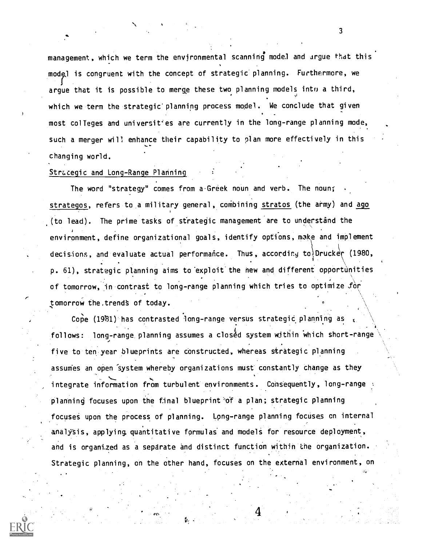management, which we term the environmental scanning model and argue that this model is congruent with the concept of strategic planning. Furthermore, we argue that it is possible to merge these two planning models into a third, which we term the strategic' planning process model. We conclude that given most colleges and universities are currently in the long-range planning mode, such a merger will enhance their capability to plan more effectively in this changing world.

#### Strategic and Long-Range Planning

The word "strategy" comes from a-Greek noun and verb. The noun; strategos, refers to a military general, combining stratos (the army) and ago .(to lead). The prime tasks of strategic management are to understand the environment, define organizational goals, identify options, make and implement decisions, and evaluate actual performance. Thus, according to Drucker (1980, p. 61), strategic planning aims to exploit the new and different opportunities of tomorrow, in contrast to long-range planning which tries to optimize for tomorrow the.trends of today.

Cope (1981) has contrasted long-range versus strategic planning as follows: long-range planning assumes a closed system within which short-range five to ten year blueprints are constructed, whereas strategic planning assumes an open 'system whereby organizations must constantly change as they integrate information from turbulent environments. Consequently, long-range planning focuses upon the final blueprint of a plan; strategic planning focuses upon the process of planning. Long-range planning focuses on internal analysis, applying quantitative formulas and models for resource deployment, and is organized as a separate and distinct function within the organization. Strategic planning, on the other hand, focuses on the external environment, on



3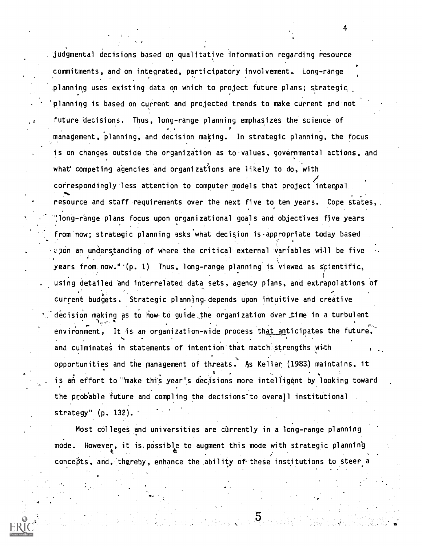judgmental decisions based an qualitative information regarding resource commitments, and. on integrated, participatory involvement. Long-range planning uses existing data on which to project future plans; strategic planning is based on current and projected trends to make current and not future decisions. Thus, long-range planning emphasizes the science of 0 management, planning, and decision making. In strategic planning, the focus is on changes outside the organization as to values, governmental actions, and what' competing agencies and organizations are likely to do, with correspondingly less attention to computer models that project intenpal resource and staff requirements over the next five to ten years. Cope states, '!long-range plans focus upon organizational goals and objectives five years from now; stratagic planning asks what decision is appropriate today based  $\upsilon$  pon an understanding of where the critical external variables will be five years from now."'(p. 1) Thus, long-range planning is viewed as scientific, using detailed and interrelated data sets, agency plans, and extrapolations of current budgets. Strategic planning depends upon intuitive and creative  $\therefore$  decision making as to how to guide the organization over time in a turbulent  $\mathbf{r}$  -  $\mathbf{r}$ environment, It is an organization-wide process that anticipates the future, and culminates in statements of intention that match strengths with opportunities and the management of threats. 4s Keller (1983.) maintains, it is an effort to "make this year's decisions more intelligent by looking toward the probable future and compling the decisions' to overall institutional strategy" (p. 132).

4

Most colleges and universities are currently in a long-range planning mode. However, it is possible to augment this mode with strategic planning concepts, and, thereby, enhance the ability of these institutions to steer a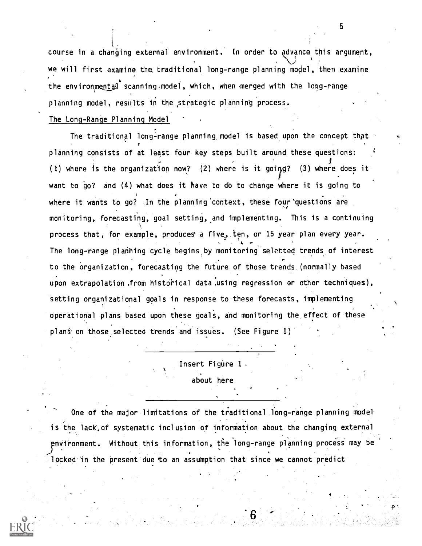course in a changing external environment. In order to advance this argument, we will first examine the, traditional long-range planning model, then examine the environmental scanning model, which, when merged with the long-range planning model, results in the ,strategic planning process.

The Long-Range Planning Model

The traditional long-range planning, model is based upon the concept that planning consists of at least four key steps built around these questions: (1) where is the organization now? (2) where is it going? (3) where does it want to go? and (4) what does it have to do to change where it is going to where it wants to go? In the planning context, these four questions are monitoring, forecasting, goal setting, and implementing. This is a continuing process that, for example, produces a five, ten, or 15 year plan every year. . 4 The long-range planning cycle begins by monitoring selected trends of interest to the organization, forecasting the future of those trends (normally based upon extrapolation.from historical data using regression or other techniques), setting organizational goals in response to these forecasts, implementing operational plans based upon these goals, and monitoring the effect of these plans on those selected trends and issues. (See Figure 1)

> Insert Figure 1 . about here.

One of the major limitations of the traditional long-range planning model is the lack, of systematic inclusion of information about the changing external environment. Without this information, the long-range planning process may be locked in the present due to an assumption that since we cannot predict



4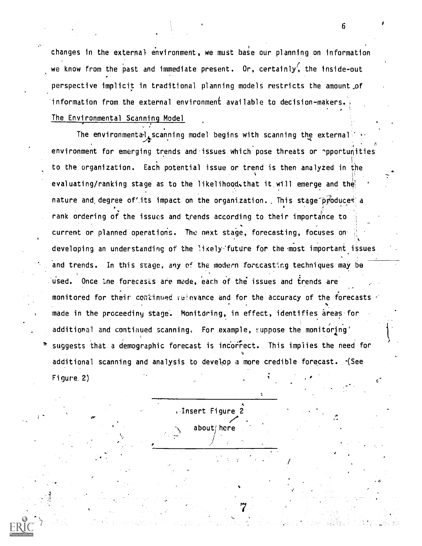changes in the external environment, we must base our planning on information we know from the past and immediate present. Or, certainly, the inside-out perspective implicit in traditional planning models restricts the amount of information from the external environment available to decision-makers. The Environmental Scanning Model

The environmental scanning model begins with scanning the external.  $\mathcal{A}$ s. The contract of  $\mathcal{A}$ 6 environment for emerging trends and issues which pose threats or opportunities to the organization. Each potential issue or trend is then analyzed in the evaluating/ranking stage as to the likelihood, that it will emerge and the nature and degree of its impact on the organization. This stage  $p\mathit{p}$  oduces a rank ordering of the issues and trends according to their importance to current or planned operations. The next stage, forecasting, focuses on developing an understanding of the likely-future for the most important issues and trends. In this stage, any of the modern forecasting techniques may be used. Once the forecasts are mode, each of the issues and trends are monitored for their condinued relevance and for the accuracy of the forecasts made in the proceediny stage. Monitoring, in effect, identifies areas for additional and continued scanning. For example, suppose the monitoring' suggests that a demographic forecast is incorrect. This implies the need for % additional scanning and analysis to develop a more credible forecast. -(See Figure. 2) I

, Insert Figure 2  $\sqrt{2}$ 

about here

,  $\mathcal{L}_{\mathbf{Z}^{\mathbf{X}}}$ 

p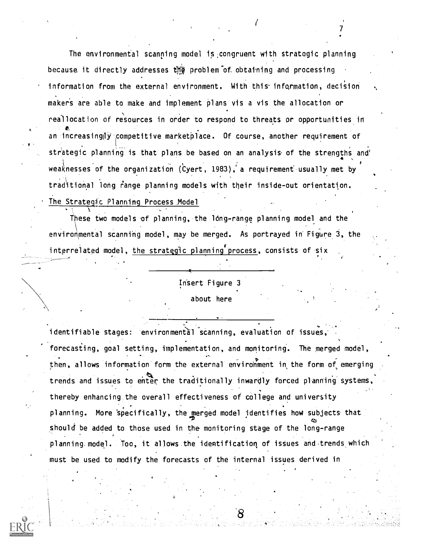The environmental scanning model 15,congruent with strategic planning because it directly addresses the problem of obtaining and processing information from the external environment. With this information, decision maker's are able to make and implement plans vis a vis the allocation or reallocation of resources in order to respond to threats or opportunities in an increasing ty competitive marketplace. Of course, another requirement of strategic planning is that plans be based on an analysis of the strengths and 4 , weaknesses of the organization (Cyert, 1983), a requirement usually met by traditional long range planning models with their inside-out orientation. The Strategic Planning Process Model

 $\mathcal{T}$  and  $\mathcal{T}$ 

These two models of planning, the long-range planning model and the environmental scanning model, may be merged. As portrayed in Figure 3, the interrelated model, the strategic planning process, consists of six

## In'sert Figure 3 about here

identifiable stages: environmental scanning, evaluation of issues,  $\hat{\phantom{\phi}}$  forecasting, goal setting, implementation, and monitoring. The merged model, then, allows information form the external environment in the form of emerging trends and issues to enter the traditionally inwardly forced planning systems, thereby enhancing the overall effectiveness of college and university planning. More 'specifically, the merged model identifies how subjects that ezi should be added to those used in the monitoring stage of the long-range planning.model. Too, it allows.the identification of issues and.trends which must be used to modify the forecasts of the internal issues derived in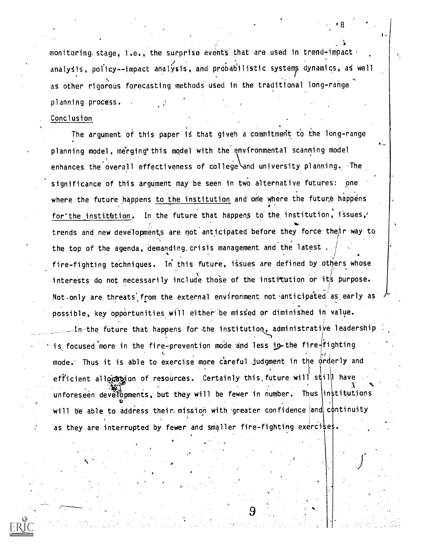monitoring stage, i.e., the surprise events that are used in trend-impact analysis, policy -- impact analysis, and probabilistic systems dynamics, as well as other rigorous forecasting methods used in the traditional long-range planning process.

#### Conclusion

The argument of this paper is that given a commitment to the long-range planning model, merging this model with the environmental scanning model enhances the overall effectiveness of college and university planning. The significance of this argument may be seen in two alternative futures: one. where the future happens to the institution and one where the future happens for the institution. In the future that happens to the institution, issues, trends and new developments are not anticipated before they force their way to the top of the agenda, demanding. crisis management and the latest fire-fighting techniques. In this future, issues are defined by others whose interests do not necessarily include those of the institution or its purpose. Not only are threats from the external environment not anticipated as early as possible, key opportunities will either be missed or diminished in value.

-In-the future that happens for the institution, administrati $\not\!$ e leadership is focused more in the fire-prevention mode and less in the fire fighting  $\sim$   $\sim$ mode. Thus it is able to exercise more careful judgment in the orderly and efficient allo $\alpha$ t ion of resources. Certainly this future will still have  $\mathcal{A}$   $\mathcal{A}$ unforeseen develôpments, but they will be fewer in number. Thus institutions  $\mathfrak{v}$  , we have  $\mathfrak{v}$ will be able to address their mission with greater confidence and continuity as they are interrupted by fewer and smaller fire-fighting exercises.

,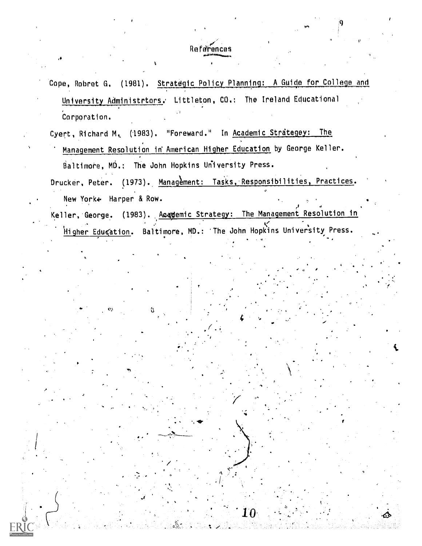## References

Cope, Robret G. (1981). Strategic Policy Planning: A Guide for College and University Administrtors. Littleton, CO.: The Ireland Educational Corporation.

Cyert, Richard M. (1983). "Foreward." In Academic Strategey: The Management Resolution in American Higher Education by George Keller. Baltimore, MD.: The John Hopkins University Press.

Drucker, Peter. (1973). Management: Tasks, Responsibilities, Practices. New York+ Harper & Row.

Keller, George. (1983). Academic Strategy: The Management Resolution in Higher Edugation. Baltimore, MD.: The John Hopkins University Press.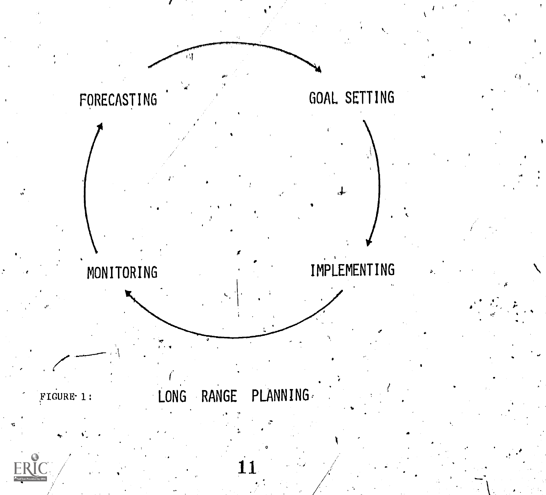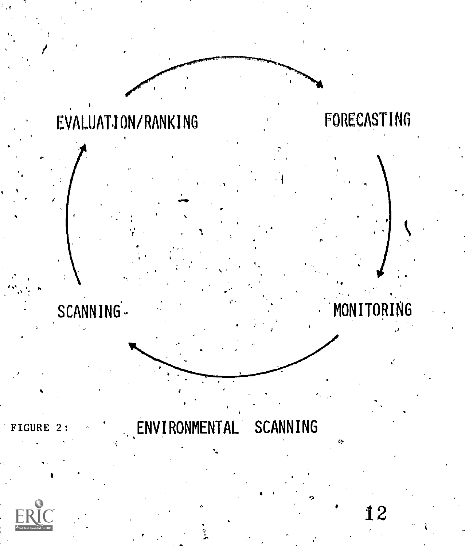# FORECASTING EVALUATION/RANKING MONITORING SCANNING-ENVIRONMENTAL SCANNING FIGURE 2: 12